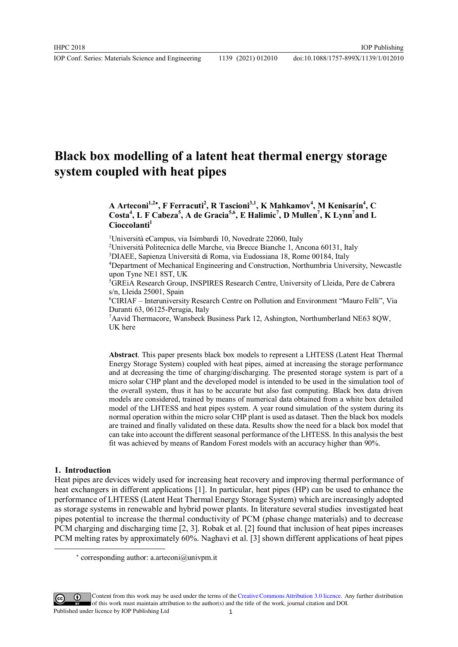# **Black box modelling of a latent heat thermal energy storage system coupled with heat pipes**

# **A Arteconi1,2 , F Ferracuti<sup>2</sup> , R Tascioni3,1, K Mahkamov<sup>4</sup> , M Kenisarin<sup>4</sup> , C Costa<sup>4</sup> , L F Cabeza<sup>5</sup> , A de Gracia5,6, E Halimic<sup>7</sup> , D Mullen<sup>7</sup> , K Lynn<sup>7</sup> and L Cioccolanti<sup>1</sup>**

<sup>1</sup>Università eCampus, via Isimbardi 10, Novedrate 22060, Italy

<sup>2</sup>Università Politecnica delle Marche, via Brecce Bianche 1, Ancona 60131, Italy

<sup>3</sup>DIAEE, Sapienza Università di Roma, via Eudossiana 18, Rome 00184, Italy

<sup>4</sup>Department of Mechanical Engineering and Construction, Northumbria University, Newcastle upon Tyne NE1 8ST, UK

<sup>5</sup>GREiA Research Group, INSPIRES Research Centre, University of Lleida, Pere de Cabrera s/n, Lleida 25001, Spain

<sup>6</sup>CIRIAF – Interuniversity Research Centre on Pollution and Environment "Mauro Felli", Via Duranti 63, 06125-Perugia, Italy

<sup>7</sup>Aavid Thermacore, Wansbeck Business Park 12, Ashington, Northumberland NE63 8QW, UK here

**Abstract**. This paper presents black box models to represent a LHTESS (Latent Heat Thermal Energy Storage System) coupled with heat pipes, aimed at increasing the storage performance and at decreasing the time of charging/discharging. The presented storage system is part of a micro solar CHP plant and the developed model is intended to be used in the simulation tool of the overall system, thus it has to be accurate but also fast computing. Black box data driven models are considered, trained by means of numerical data obtained from a white box detailed model of the LHTESS and heat pipes system. A year round simulation of the system during its normal operation within the micro solar CHP plant is used as dataset. Then the black box models are trained and finally validated on these data. Results show the need for a black box model that can take into account the different seasonal performance of the LHTESS. In this analysis the best fit was achieved by means of Random Forest models with an accuracy higher than 90%.

#### **1. Introduction**

 $\overline{a}$ 

Heat pipes are devices widely used for increasing heat recovery and improving thermal performance of heat exchangers in different applications [1]. In particular, heat pipes (HP) can be used to enhance the performance of LHTESS (Latent Heat Thermal Energy Storage System) which are increasingly adopted as storage systems in renewable and hybrid power plants. In literature several studies investigated heat pipes potential to increase the thermal conductivity of PCM (phase change materials) and to decrease PCM charging and discharging time [2, 3]. Robak et al. [2] found that inclusion of heat pipes increases PCM melting rates by approximately 60%. Naghavi et al. [3] shown different applications of heat pipes

corresponding author: a.arteconi@univpm.it

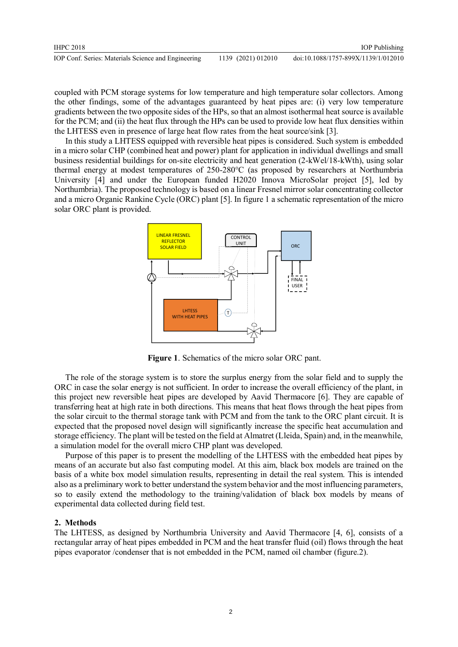coupled with PCM storage systems for low temperature and high temperature solar collectors. Among the other findings, some of the advantages guaranteed by heat pipes are: (i) very low temperature gradients between the two opposite sides of the HPs, so that an almost isothermal heat source is available for the PCM; and (ii) the heat flux through the HPs can be used to provide low heat flux densities within the LHTESS even in presence of large heat flow rates from the heat source/sink [3].

In this study a LHTESS equipped with reversible heat pipes is considered. Such system is embedded in a micro solar CHP (combined heat and power) plant for application in individual dwellings and small business residential buildings for on-site electricity and heat generation (2-kWel/18-kWth), using solar thermal energy at modest temperatures of 250-280°C (as proposed by researchers at Northumbria University [4] and under the European funded H2020 Innova MicroSolar project [5], led by Northumbria). The proposed technology is based on a linear Fresnel mirror solar concentrating collector and a micro Organic Rankine Cycle (ORC) plant [5]. In figure 1 a schematic representation of the micro solar ORC plant is provided.



**Figure 1**. Schematics of the micro solar ORC pant.

The role of the storage system is to store the surplus energy from the solar field and to supply the ORC in case the solar energy is not sufficient. In order to increase the overall efficiency of the plant, in this project new reversible heat pipes are developed by Aavid Thermacore [6]. They are capable of transferring heat at high rate in both directions. This means that heat flows through the heat pipes from the solar circuit to the thermal storage tank with PCM and from the tank to the ORC plant circuit. It is expected that the proposed novel design will significantly increase the specific heat accumulation and storage efficiency. The plant will be tested on the field at Almatret (Lleida, Spain) and, in the meanwhile, a simulation model for the overall micro CHP plant was developed.

Purpose of this paper is to present the modelling of the LHTESS with the embedded heat pipes by means of an accurate but also fast computing model. At this aim, black box models are trained on the basis of a white box model simulation results, representing in detail the real system. This is intended also as a preliminary work to better understand the system behavior and the most influencing parameters, so to easily extend the methodology to the training/validation of black box models by means of experimental data collected during field test.

# **2. Methods**

The LHTESS, as designed by Northumbria University and Aavid Thermacore [4, 6], consists of a rectangular array of heat pipes embedded in PCM and the heat transfer fluid (oil) flows through the heat pipes evaporator /condenser that is not embedded in the PCM, named oil chamber (figure.2).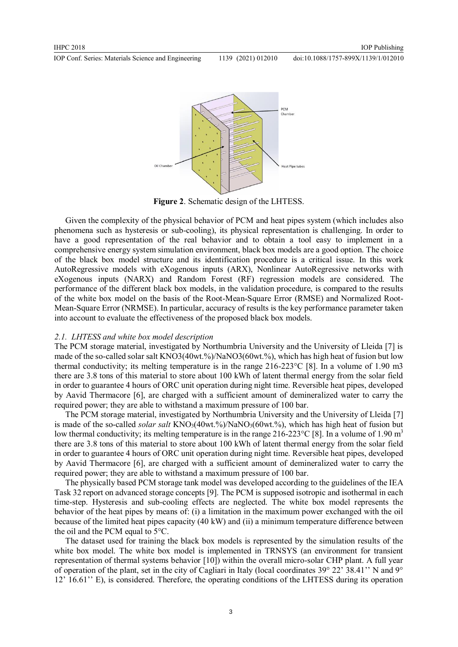

**Figure 2**. Schematic design of the LHTESS.

Given the complexity of the physical behavior of PCM and heat pipes system (which includes also phenomena such as hysteresis or sub-cooling), its physical representation is challenging. In order to have a good representation of the real behavior and to obtain a tool easy to implement in a comprehensive energy system simulation environment, black box models are a good option. The choice of the black box model structure and its identification procedure is a critical issue. In this work AutoRegressive models with eXogenous inputs (ARX), Nonlinear AutoRegressive networks with eXogenous inputs (NARX) and Random Forest (RF) regression models are considered. The performance of the different black box models, in the validation procedure, is compared to the results of the white box model on the basis of the Root-Mean-Square Error (RMSE) and Normalized Root-Mean-Square Error (NRMSE). In particular, accuracy of results is the key performance parameter taken into account to evaluate the effectiveness of the proposed black box models.

## *2.1. LHTESS and white box model description*

The PCM storage material, investigated by Northumbria University and the University of Lleida [7] is made of the so-called solar salt KNO3(40wt.%)/NaNO3(60wt.%), which has high heat of fusion but low thermal conductivity; its melting temperature is in the range  $216-223^{\circ}C$  [8]. In a volume of 1.90 m3 there are 3.8 tons of this material to store about 100 kWh of latent thermal energy from the solar field in order to guarantee 4 hours of ORC unit operation during night time. Reversible heat pipes, developed by Aavid Thermacore [6], are charged with a sufficient amount of demineralized water to carry the required power; they are able to withstand a maximum pressure of 100 bar.

The PCM storage material, investigated by Northumbria University and the University of Lleida [7] is made of the so-called *solar salt* KNO<sub>3</sub>(40wt.%)/NaNO<sub>3</sub>(60wt.%), which has high heat of fusion but low thermal conductivity; its melting temperature is in the range 216-223 °C [8]. In a volume of 1.90 m<sup>3</sup> there are 3.8 tons of this material to store about 100 kWh of latent thermal energy from the solar field in order to guarantee 4 hours of ORC unit operation during night time. Reversible heat pipes, developed by Aavid Thermacore [6], are charged with a sufficient amount of demineralized water to carry the required power; they are able to withstand a maximum pressure of 100 bar.

The physically based PCM storage tank model was developed according to the guidelines of the IEA Task 32 report on advanced storage concepts [9]. The PCM is supposed isotropic and isothermal in each time-step. Hysteresis and sub-cooling effects are neglected. The white box model represents the behavior of the heat pipes by means of: (i) a limitation in the maximum power exchanged with the oil because of the limited heat pipes capacity (40 kW) and (ii) a minimum temperature difference between the oil and the PCM equal to 5°C.

The dataset used for training the black box models is represented by the simulation results of the white box model. The white box model is implemented in TRNSYS (an environment for transient representation of thermal systems behavior [10]) within the overall micro-solar CHP plant. A full year of operation of the plant, set in the city of Cagliari in Italy (local coordinates  $39^{\circ}$  22'  $38.41'$ . N and  $9^{\circ}$ 12' 16.61'' E), is considered. Therefore, the operating conditions of the LHTESS during its operation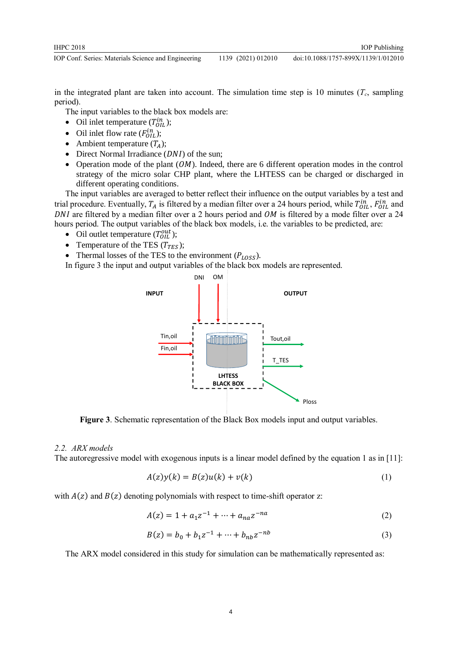in the integrated plant are taken into account. The simulation time step is 10 minutes  $(T_c,$  sampling period).

The input variables to the black box models are:

- Oil inlet temperature  $(T_{OIL}^{in})$ ;
- Oil inlet flow rate  $(F_{OIL}^{in})$ ;
- Ambient temperature  $(T_A)$ ;
- Direct Normal Irradiance  $(DNI)$  of the sun;
- Operation mode of the plant  $(OM)$ . Indeed, there are 6 different operation modes in the control strategy of the micro solar CHP plant, where the LHTESS can be charged or discharged in different operating conditions.

The input variables are averaged to better reflect their influence on the output variables by a test and trial procedure. Eventually,  $T_A$  is filtered by a median filter over a 24 hours period, while  $T_{OIL}^{in}$ ,  $F_{OIL}^{in}$  and DNI are filtered by a median filter over a 2 hours period and  $OM$  is filtered by a mode filter over a 24 hours period. The output variables of the black box models, i.e. the variables to be predicted, are:

- Oil outlet temperature  $(T_{OIL}^{out})$ ;
- Temperature of the TES  $(T_{TES})$ ;
- Thermal losses of the TES to the environment  $(P_{LASS})$ .
- In figure 3 the input and output variables of the black box models are represented.



**Figure 3**. Schematic representation of the Black Box models input and output variables.

#### *2.2. ARX models*

The autoregressive model with exogenous inputs is a linear model defined by the equation 1 as in [11]:

$$
A(z)y(k) = B(z)u(k) + v(k)
$$
 (1)

with  $A(z)$  and  $B(z)$  denoting polynomials with respect to time-shift operator z:

$$
A(z) = 1 + a_1 z^{-1} + \dots + a_{na} z^{-na}
$$
 (2)

$$
B(z) = b_0 + b_1 z^{-1} + \dots + b_{nb} z^{-nb}
$$
 (3)

The ARX model considered in this study for simulation can be mathematically represented as: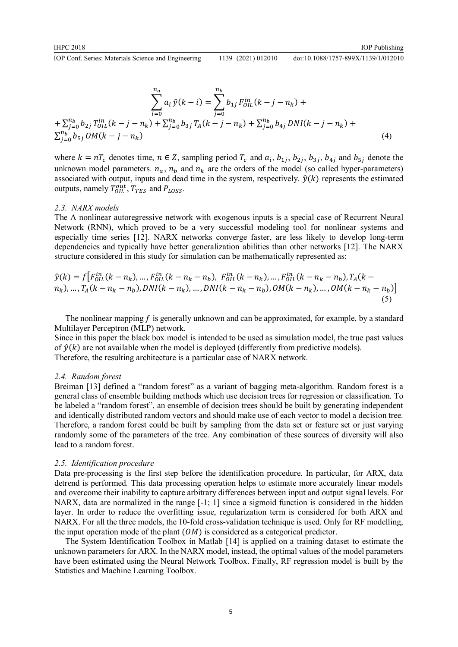$$
doi:10.1088/1757-899X/1139/1/012010
$$

$$
\sum_{i=0}^{n_a} a_i \hat{y}(k-i) = \sum_{j=0}^{n_b} b_{1j} F_{OIL}^{in}(k-j-n_k) +
$$
  
+ 
$$
\sum_{j=0}^{n_b} b_{2j} T_{OIL}^{in}(k-j-n_k) + \sum_{j=0}^{n_b} b_{3j} T_A(k-j-n_k) + \sum_{j=0}^{n_b} b_{4j} DNI(k-j-n_k) +
$$
  

$$
\sum_{j=0}^{n_b} b_{5j} OM(k-j-n_k)
$$
 (4)

where  $k = nT_c$  denotes time,  $n \in \mathbb{Z}$ , sampling period  $T_c$  and  $a_i$ ,  $b_{1j}$ ,  $b_{2j}$ ,  $b_{3j}$ ,  $b_{4j}$  and  $b_{5j}$  denote the unknown model parameters.  $n_a$ ,  $n_b$  and  $n_k$  are the orders of the model (so called hyper-parameters) associated with output, inputs and dead time in the system, respectively.  $\hat{y}(k)$  represents the estimated outputs, namely  $T_{OIL}^{out}$ ,  $T_{TES}$  and  $P_{LOSS}$ .

#### *2.3. NARX models*

The A nonlinear autoregressive network with exogenous inputs is a special case of Recurrent Neural Network (RNN), which proved to be a very successful modeling tool for nonlinear systems and especially time series [12]. NARX networks converge faster, are less likely to develop long-term dependencies and typically have better generalization abilities than other networks [12]. The NARX structure considered in this study for simulation can be mathematically represented as:

$$
\hat{y}(k) = f[F_{OL}^{in}(k - n_k), ..., F_{OL}^{in}(k - n_k - n_b), F_{OL}^{in}(k - n_k), ..., F_{OL}^{in}(k - n_k - n_b), T_A(k - n_k), ..., T_A(k - n_k - n_b), DNI(k - n_k), ..., DNI(k - n_k - n_b), OM(k - n_k), ..., OM(k - n_k - n_b)]
$$
\n(5)

The nonlinear mapping  $f$  is generally unknown and can be approximated, for example, by a standard Multilayer Perceptron (MLP) network.

Since in this paper the black box model is intended to be used as simulation model, the true past values of  $\hat{y}(k)$  are not available when the model is deployed (differently from predictive models). Therefore, the resulting architecture is a particular case of NARX network.

#### *2.4. Random forest*

Breiman [13] defined a "random forest" as a variant of bagging meta-algorithm. Random forest is a general class of ensemble building methods which use decision trees for regression or classification. To be labeled a "random forest", an ensemble of decision trees should be built by generating independent and identically distributed random vectors and should make use of each vector to model a decision tree. Therefore, a random forest could be built by sampling from the data set or feature set or just varying randomly some of the parameters of the tree. Any combination of these sources of diversity will also lead to a random forest.

#### *2.5. Identification procedure*

Data pre-processing is the first step before the identification procedure. In particular, for ARX, data detrend is performed. This data processing operation helps to estimate more accurately linear models and overcome their inability to capture arbitrary differences between input and output signal levels. For NARX, data are normalized in the range [-1; 1] since a sigmoid function is considered in the hidden layer. In order to reduce the overfitting issue, regularization term is considered for both ARX and NARX. For all the three models, the 10-fold cross-validation technique is used. Only for RF modelling, the input operation mode of the plant  $(OM)$  is considered as a categorical predictor.

The System Identification Toolbox in Matlab [14] is applied on a training dataset to estimate the unknown parameters for ARX. In the NARX model, instead, the optimal values of the model parameters have been estimated using the Neural Network Toolbox. Finally, RF regression model is built by the Statistics and Machine Learning Toolbox.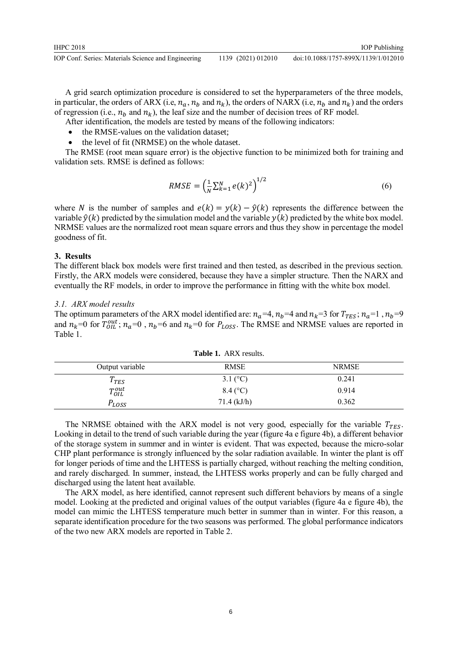A grid search optimization procedure is considered to set the hyperparameters of the three models, in particular, the orders of ARX (i.e,  $n_a$ ,  $n_b$  and  $n_k$ ), the orders of NARX (i.e,  $n_b$  and  $n_k$ ) and the orders of regression (i.e.,  $n_b$  and  $n_k$ ), the leaf size and the number of decision trees of RF model.

- After identification, the models are tested by means of the following indicators:
- the RMSE-values on the validation dataset;
- the level of fit (NRMSE) on the whole dataset.

The RMSE (root mean square error) is the objective function to be minimized both for training and validation sets. RMSE is defined as follows:

$$
RMSE = \left(\frac{1}{N} \sum_{k=1}^{N} e(k)^2\right)^{1/2} \tag{6}
$$

where N is the number of samples and  $e(k) = y(k) - \hat{y}(k)$  represents the difference between the variable  $\hat{v}(k)$  predicted by the simulation model and the variable  $v(k)$  predicted by the white box model. NRMSE values are the normalized root mean square errors and thus they show in percentage the model goodness of fit.

## **3. Results**

The different black box models were first trained and then tested, as described in the previous section. Firstly, the ARX models were considered, because they have a simpler structure. Then the NARX and eventually the RF models, in order to improve the performance in fitting with the white box model.

## *3.1. ARX model results*

The optimum parameters of the ARX model identified are:  $n_a=4$ ,  $n_b=4$  and  $n_k=3$  for  $T_{TES}$ ;  $n_a=1$ ,  $n_b=9$ and  $n_k$ =0 for  $T_{OIL}^{out}$ ;  $n_a$ =0,  $n_b$ =6 and  $n_k$ =0 for  $P_{LOSS}$ . The RMSE and NRMSE values are reported in Table 1.

| Output variable | <b>RMSE</b>   | <b>NRMSE</b> |  |  |
|-----------------|---------------|--------------|--|--|
| $T_{TES}$       | 3.1 $(C)$     | 0.241        |  |  |
| $T_{OIL}^{out}$ | $8.4\,(°C)$   | 0.914        |  |  |
| $P_{LOSS}$      | $71.4$ (kJ/h) | 0.362        |  |  |

**Table 1.** ARX results.

The NRMSE obtained with the ARX model is not very good, especially for the variable  $T_{TFS}$ . Looking in detail to the trend of such variable during the year (figure 4a e figure 4b), a different behavior of the storage system in summer and in winter is evident. That was expected, because the micro-solar CHP plant performance is strongly influenced by the solar radiation available. In winter the plant is off for longer periods of time and the LHTESS is partially charged, without reaching the melting condition, and rarely discharged. In summer, instead, the LHTESS works properly and can be fully charged and discharged using the latent heat available.

The ARX model, as here identified, cannot represent such different behaviors by means of a single model. Looking at the predicted and original values of the output variables (figure 4a e figure 4b), the model can mimic the LHTESS temperature much better in summer than in winter. For this reason, a separate identification procedure for the two seasons was performed. The global performance indicators of the two new ARX models are reported in Table 2.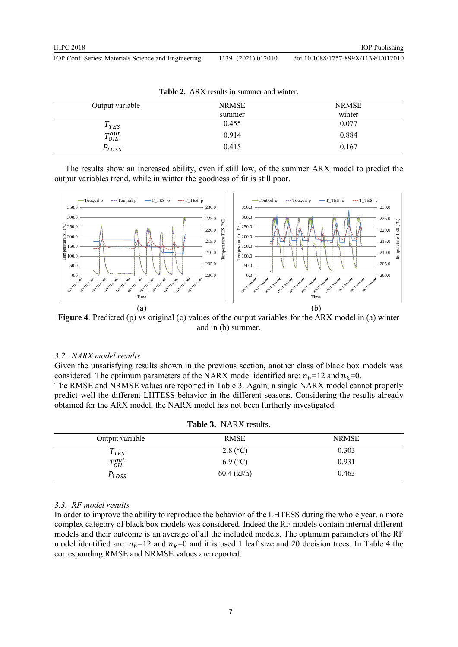| <b>Table 2.</b> First results in summer and white. |              |              |  |
|----------------------------------------------------|--------------|--------------|--|
| Output variable                                    | <b>NRMSE</b> | <b>NRMSE</b> |  |
|                                                    | summer       | winter       |  |
| $T_{TES}$                                          | 0.455        | 0.077        |  |
| $T_{OIL}^{out}$                                    | 0.914        | 0.884        |  |
| LOSS                                               | 0.415        | 0.167        |  |

Table 2. ADV results in summer and winter.

The results show an increased ability, even if still low, of the summer ARX model to predict the output variables trend, while in winter the goodness of fit is still poor.



**Figure 4**. Predicted (p) vs original (o) values of the output variables for the ARX model in (a) winter and in (b) summer.

## *3.2. NARX model results*

Given the unsatisfying results shown in the previous section, another class of black box models was considered. The optimum parameters of the NARX model identified are:  $n_h$ =12 and  $n_k$ =0. The RMSE and NRMSE values are reported in Table 3. Again, a single NARX model cannot properly predict well the different LHTESS behavior in the different seasons. Considering the results already obtained for the ARX model, the NARX model has not been furtherly investigated.

| <b>Table 3.</b> NARX results. |               |              |  |
|-------------------------------|---------------|--------------|--|
| Output variable               | <b>RMSE</b>   | <b>NRMSE</b> |  |
| $T_{TES}$                     | $2.8$ (°C)    | 0.303        |  |
| $T_{OIL}^{out}$               | $6.9$ (°C)    | 0.931        |  |
| $P_{LOSS}$                    | $60.4$ (kJ/h) | 0.463        |  |

## **Table 3.** NARX results.

## *3.3. RF model results*

In order to improve the ability to reproduce the behavior of the LHTESS during the whole year, a more complex category of black box models was considered. Indeed the RF models contain internal different models and their outcome is an average of all the included models. The optimum parameters of the RF model identified are:  $n_b$ =12 and  $n_k$ =0 and it is used 1 leaf size and 20 decision trees. In Table 4 the corresponding RMSE and NRMSE values are reported.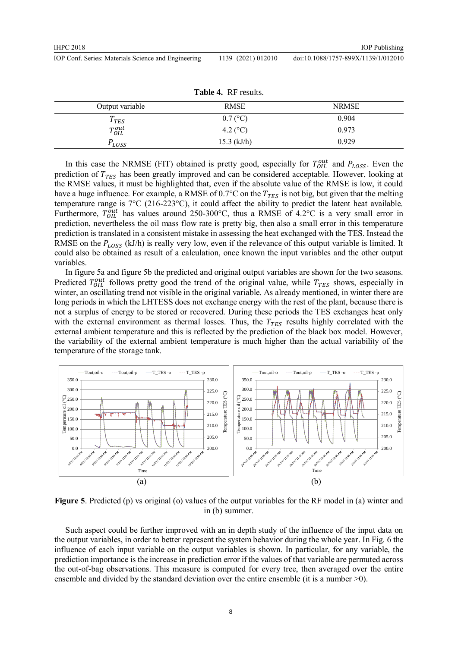| IOP Conf. Series: Materials Science and Engineering |  | 1139 (2021) 012010 |
|-----------------------------------------------------|--|--------------------|
|-----------------------------------------------------|--|--------------------|

doi:10.1088/1757-899X/1139/1/012010

| Table 4. RF results. |                     |              |  |
|----------------------|---------------------|--------------|--|
| Output variable      | RMSE                | <b>NRMSE</b> |  |
| $T_{TES}$            | $0.7$ (°C)          | 0.904        |  |
| $T_{OIL}^{out}$      | 4.2 ( $^{\circ}$ C) | 0.973        |  |
| $P_{LOSS}$           | $15.3$ (kJ/h)       | 0.929        |  |

In this case the NRMSE (FIT) obtained is pretty good, especially for  $T_{OIL}^{out}$  and  $P_{LoSS}$ . Even the prediction of  $T_{TES}$  has been greatly improved and can be considered acceptable. However, looking at the RMSE values, it must be highlighted that, even if the absolute value of the RMSE is low, it could have a huge influence. For example, a RMSE of 0.7°C on the  $T_{TES}$  is not big, but given that the melting temperature range is 7°C (216-223°C), it could affect the ability to predict the latent heat available. Furthermore,  $T_{OIL}^{out}$  has values around 250-300°C, thus a RMSE of 4.2°C is a very small error in prediction, nevertheless the oil mass flow rate is pretty big, then also a small error in this temperature prediction is translated in a consistent mistake in assessing the heat exchanged with the TES. Instead the RMSE on the  $P_{LoSS}$  (kJ/h) is really very low, even if the relevance of this output variable is limited. It could also be obtained as result of a calculation, once known the input variables and the other output variables.

In figure 5a and figure 5b the predicted and original output variables are shown for the two seasons. Predicted  $T_{OIL}^{out}$  follows pretty good the trend of the original value, while  $T_{TES}$  shows, especially in winter, an oscillating trend not visible in the original variable. As already mentioned, in winter there are long periods in which the LHTESS does not exchange energy with the rest of the plant, because there is not a surplus of energy to be stored or recovered. During these periods the TES exchanges heat only with the external environment as thermal losses. Thus, the  $T_{TES}$  results highly correlated with the external ambient temperature and this is reflected by the prediction of the black box model. However, the variability of the external ambient temperature is much higher than the actual variability of the temperature of the storage tank.



**Figure 5**. Predicted (p) vs original (o) values of the output variables for the RF model in (a) winter and in (b) summer.

Such aspect could be further improved with an in depth study of the influence of the input data on the output variables, in order to better represent the system behavior during the whole year. In Fig. 6 the influence of each input variable on the output variables is shown. In particular, for any variable, the prediction importance is the increase in prediction error if the values of that variable are permuted across the out-of-bag observations. This measure is computed for every tree, then averaged over the entire ensemble and divided by the standard deviation over the entire ensemble (it is a number  $\geq 0$ ).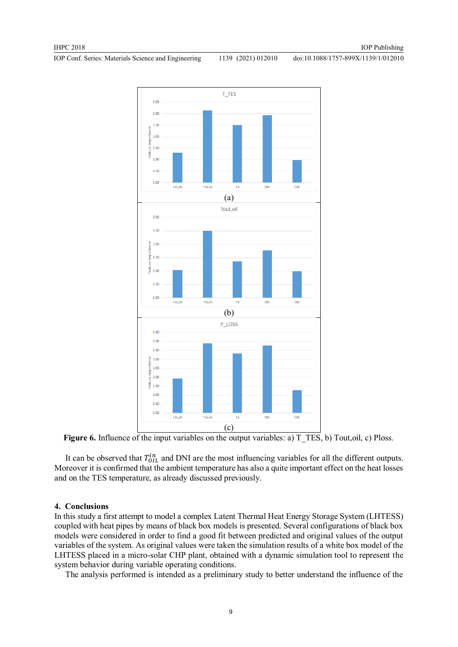doi:10.1088/1757-899X/1139/1/012010



Figure 6. Influence of the input variables on the output variables: a) T\_TES, b) Tout,oil, c) Ploss.

It can be observed that  $T_{OIL}^{in}$  and DNI are the most influencing variables for all the different outputs. Moreover it is confirmed that the ambient temperature has also a quite important effect on the heat losses and on the TES temperature, as already discussed previously.

# **4. Conclusions**

In this study a first attempt to model a complex Latent Thermal Heat Energy Storage System (LHTESS) coupled with heat pipes by means of black box models is presented. Several configurations of black box models were considered in order to find a good fit between predicted and original values of the output variables of the system. As original values were taken the simulation results of a white box model of the LHTESS placed in a micro-solar CHP plant, obtained with a dynamic simulation tool to represent the system behavior during variable operating conditions.

The analysis performed is intended as a preliminary study to better understand the influence of the